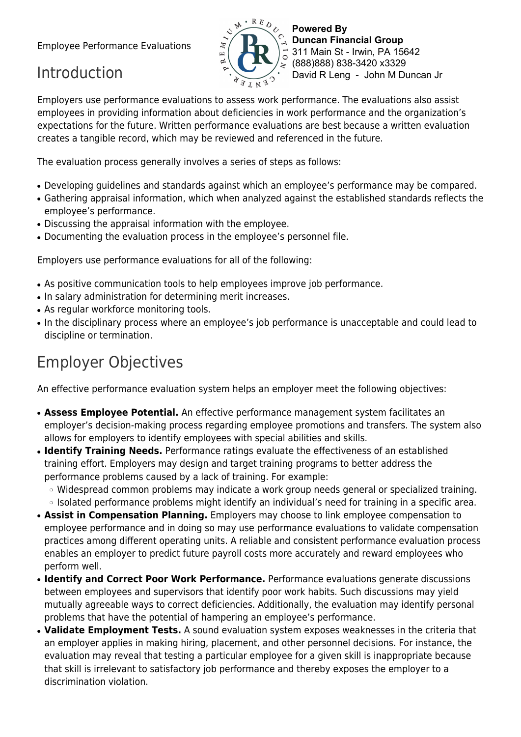#### Employee Performance Evaluations



**Powered By Duncan Financial Group** 311 Main St - Irwin, PA 15642 (888)888) 838-3420 x3329 David R Leng - John M Duncan Jr

# Introduction

Employers use performance evaluations to assess work performance. The evaluations also assist employees in providing information about deficiencies in work performance and the organization's expectations for the future. Written performance evaluations are best because a written evaluation creates a tangible record, which may be reviewed and referenced in the future.

The evaluation process generally involves a series of steps as follows:

- Developing guidelines and standards against which an employee's performance may be compared.
- Gathering appraisal information, which when analyzed against the established standards reflects the employee's performance.
- Discussing the appraisal information with the employee.
- Documenting the evaluation process in the employee's personnel file.

Employers use performance evaluations for all of the following:

- As positive communication tools to help employees improve job performance.
- In salary administration for determining merit increases.
- As regular workforce monitoring tools.
- In the disciplinary process where an employee's job performance is unacceptable and could lead to discipline or termination.

# Employer Objectives

An effective performance evaluation system helps an employer meet the following objectives:

- Assess Employee Potential. An effective performance management system facilitates an employer's decision-making process regarding employee promotions and transfers. The system also allows for employers to identify employees with special abilities and skills.
- **Identify Training Needs.** Performance ratings evaluate the effectiveness of an established training effort. Employers may design and target training programs to better address the performance problems caused by a lack of training. For example:
	- ❍ Widespread common problems may indicate a work group needs general or specialized training.
	- ❍ Isolated performance problems might identify an individual's need for training in a specific area.
- Assist in Compensation Planning. Employers may choose to link employee compensation to employee performance and in doing so may use performance evaluations to validate compensation practices among different operating units. A reliable and consistent performance evaluation process enables an employer to predict future payroll costs more accurately and reward employees who perform well.
- **Identify and Correct Poor Work Performance.** Performance evaluations generate discussions between employees and supervisors that identify poor work habits. Such discussions may yield mutually agreeable ways to correct deficiencies. Additionally, the evaluation may identify personal problems that have the potential of hampering an employee's performance.
- **Validate Employment Tests.** A sound evaluation system exposes weaknesses in the criteria that an employer applies in making hiring, placement, and other personnel decisions. For instance, the evaluation may reveal that testing a particular employee for a given skill is inappropriate because that skill is irrelevant to satisfactory job performance and thereby exposes the employer to a discrimination violation.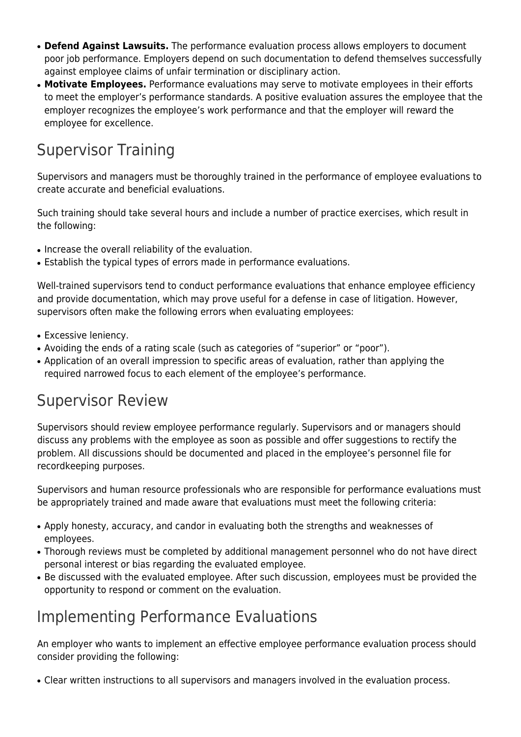- **Defend Against Lawsuits.** The performance evaluation process allows employers to document poor job performance. Employers depend on such documentation to defend themselves successfully against employee claims of unfair termination or disciplinary action.
- **Motivate Employees.** Performance evaluations may serve to motivate employees in their efforts to meet the employer's performance standards. A positive evaluation assures the employee that the employer recognizes the employee's work performance and that the employer will reward the employee for excellence.

# Supervisor Training

Supervisors and managers must be thoroughly trained in the performance of employee evaluations to create accurate and beneficial evaluations.

Such training should take several hours and include a number of practice exercises, which result in the following:

- Increase the overall reliability of the evaluation.
- Establish the typical types of errors made in performance evaluations.

Well-trained supervisors tend to conduct performance evaluations that enhance employee efficiency and provide documentation, which may prove useful for a defense in case of litigation. However, supervisors often make the following errors when evaluating employees:

- Excessive leniency.
- Avoiding the ends of a rating scale (such as categories of "superior" or "poor").
- Application of an overall impression to specific areas of evaluation, rather than applying the required narrowed focus to each element of the employee's performance.

## Supervisor Review

Supervisors should review employee performance regularly. Supervisors and or managers should discuss any problems with the employee as soon as possible and offer suggestions to rectify the problem. All discussions should be documented and placed in the employee's personnel file for recordkeeping purposes.

Supervisors and human resource professionals who are responsible for performance evaluations must be appropriately trained and made aware that evaluations must meet the following criteria:

- Apply honesty, accuracy, and candor in evaluating both the strengths and weaknesses of employees.
- Thorough reviews must be completed by additional management personnel who do not have direct personal interest or bias regarding the evaluated employee.
- Be discussed with the evaluated employee. After such discussion, employees must be provided the opportunity to respond or comment on the evaluation.

## Implementing Performance Evaluations

An employer who wants to implement an effective employee performance evaluation process should consider providing the following:

• Clear written instructions to all supervisors and managers involved in the evaluation process.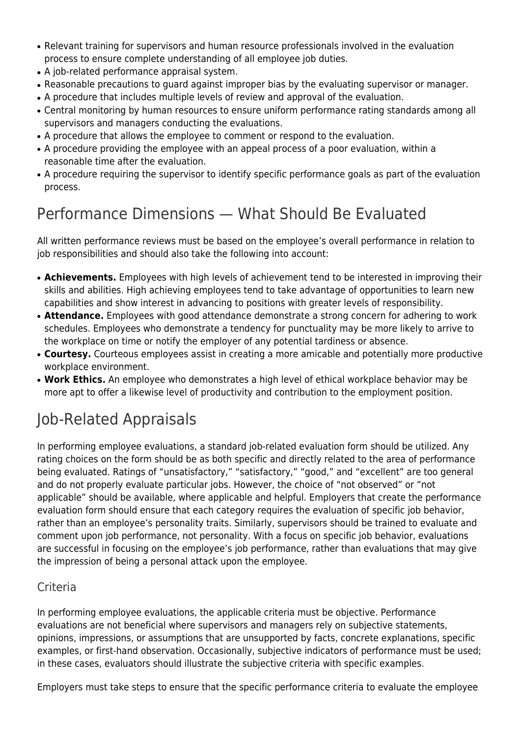- Relevant training for supervisors and human resource professionals involved in the evaluation process to ensure complete understanding of all employee job duties.
- A job-related performance appraisal system.
- Reasonable precautions to quard against improper bias by the evaluating supervisor or manager.
- A procedure that includes multiple levels of review and approval of the evaluation.
- Central monitoring by human resources to ensure uniform performance rating standards among all supervisors and managers conducting the evaluations.
- A procedure that allows the employee to comment or respond to the evaluation.
- A procedure providing the employee with an appeal process of a poor evaluation, within a reasonable time after the evaluation.
- A procedure requiring the supervisor to identify specific performance goals as part of the evaluation process.

# Performance Dimensions — What Should Be Evaluated

All written performance reviews must be based on the employee's overall performance in relation to job responsibilities and should also take the following into account:

- **Achievements.** Employees with high levels of achievement tend to be interested in improving their skills and abilities. High achieving employees tend to take advantage of opportunities to learn new capabilities and show interest in advancing to positions with greater levels of responsibility.
- **Attendance.** Employees with good attendance demonstrate a strong concern for adhering to work schedules. Employees who demonstrate a tendency for punctuality may be more likely to arrive to the workplace on time or notify the employer of any potential tardiness or absence.
- **Courtesy.** Courteous employees assist in creating a more amicable and potentially more productive workplace environment.
- Work Ethics. An employee who demonstrates a high level of ethical workplace behavior may be more apt to offer a likewise level of productivity and contribution to the employment position.

# Job-Related Appraisals

In performing employee evaluations, a standard job-related evaluation form should be utilized. Any rating choices on the form should be as both specific and directly related to the area of performance being evaluated. Ratings of "unsatisfactory," "satisfactory," "good," and "excellent" are too general and do not properly evaluate particular jobs. However, the choice of "not observed" or "not applicable" should be available, where applicable and helpful. Employers that create the performance evaluation form should ensure that each category requires the evaluation of specific job behavior, rather than an employee's personality traits. Similarly, supervisors should be trained to evaluate and comment upon job performance, not personality. With a focus on specific job behavior, evaluations are successful in focusing on the employee's job performance, rather than evaluations that may give the impression of being a personal attack upon the employee.

## Criteria

In performing employee evaluations, the applicable criteria must be objective. Performance evaluations are not beneficial where supervisors and managers rely on subjective statements, opinions, impressions, or assumptions that are unsupported by facts, concrete explanations, specific examples, or first-hand observation. Occasionally, subjective indicators of performance must be used; in these cases, evaluators should illustrate the subjective criteria with specific examples.

Employers must take steps to ensure that the specific performance criteria to evaluate the employee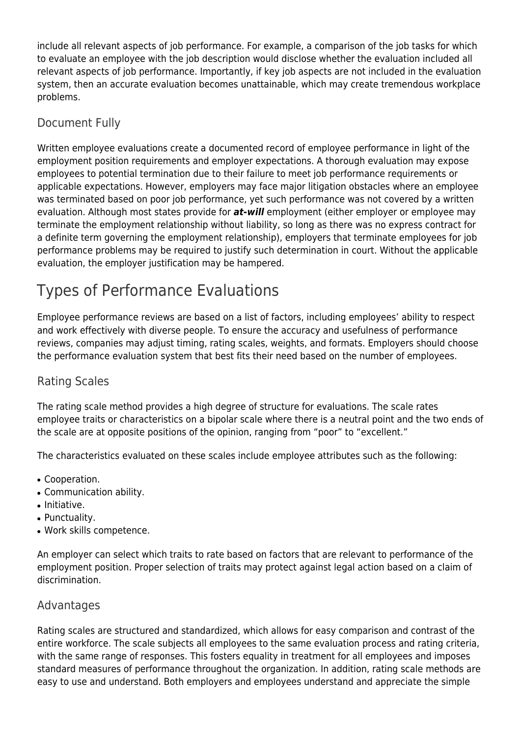include all relevant aspects of job performance. For example, a comparison of the job tasks for which to evaluate an employee with the job description would disclose whether the evaluation included all relevant aspects of job performance. Importantly, if key job aspects are not included in the evaluation system, then an accurate evaluation becomes unattainable, which may create tremendous workplace problems.

## Document Fully

Written employee evaluations create a documented record of employee performance in light of the employment position requirements and employer expectations. A thorough evaluation may expose employees to potential termination due to their failure to meet job performance requirements or applicable expectations. However, employers may face major litigation obstacles where an employee was terminated based on poor job performance, yet such performance was not covered by a written evaluation. Although most states provide for *at-will* employment (either employer or employee may terminate the employment relationship without liability, so long as there was no express contract for a definite term governing the employment relationship), employers that terminate employees for job performance problems may be required to justify such determination in court. Without the applicable evaluation, the employer justification may be hampered.

# Types of Performance Evaluations

Employee performance reviews are based on a list of factors, including employees' ability to respect and work effectively with diverse people. To ensure the accuracy and usefulness of performance reviews, companies may adjust timing, rating scales, weights, and formats. Employers should choose the performance evaluation system that best fits their need based on the number of employees.

## Rating Scales

The rating scale method provides a high degree of structure for evaluations. The scale rates employee traits or characteristics on a bipolar scale where there is a neutral point and the two ends of the scale are at opposite positions of the opinion, ranging from "poor" to "excellent."

The characteristics evaluated on these scales include employee attributes such as the following:

- Cooperation.
- Communication ability.
- Initiative.
- Punctuality.
- Work skills competence.

An employer can select which traits to rate based on factors that are relevant to performance of the employment position. Proper selection of traits may protect against legal action based on a claim of discrimination.

## Advantages

Rating scales are structured and standardized, which allows for easy comparison and contrast of the entire workforce. The scale subjects all employees to the same evaluation process and rating criteria, with the same range of responses. This fosters equality in treatment for all employees and imposes standard measures of performance throughout the organization. In addition, rating scale methods are easy to use and understand. Both employers and employees understand and appreciate the simple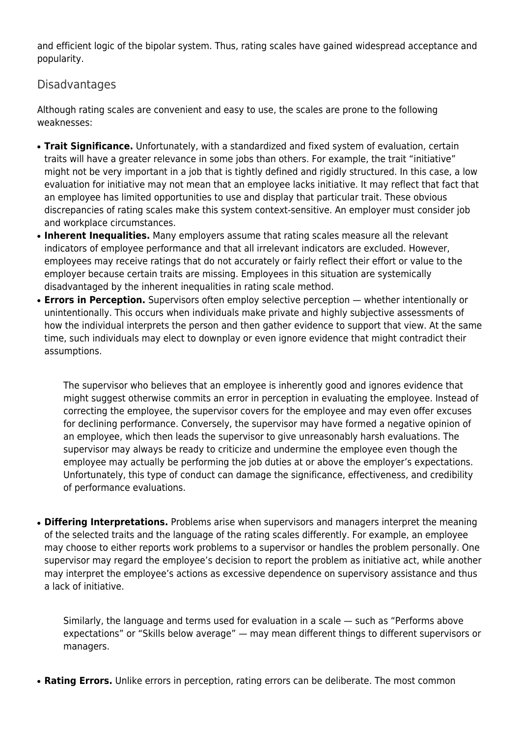and efficient logic of the bipolar system. Thus, rating scales have gained widespread acceptance and popularity.

## Disadvantages

Although rating scales are convenient and easy to use, the scales are prone to the following weaknesses:

- Trait Significance. Unfortunately, with a standardized and fixed system of evaluation, certain traits will have a greater relevance in some jobs than others. For example, the trait "initiative" might not be very important in a job that is tightly defined and rigidly structured. In this case, a low evaluation for initiative may not mean that an employee lacks initiative. It may reflect that fact that an employee has limited opportunities to use and display that particular trait. These obvious discrepancies of rating scales make this system context-sensitive. An employer must consider job and workplace circumstances.
- **Inherent Inequalities.** Many employers assume that rating scales measure all the relevant indicators of employee performance and that all irrelevant indicators are excluded. However, employees may receive ratings that do not accurately or fairly reflect their effort or value to the employer because certain traits are missing. Employees in this situation are systemically disadvantaged by the inherent inequalities in rating scale method.
- **Errors in Perception.** Supervisors often employ selective perception whether intentionally or unintentionally. This occurs when individuals make private and highly subjective assessments of how the individual interprets the person and then gather evidence to support that view. At the same time, such individuals may elect to downplay or even ignore evidence that might contradict their assumptions.

The supervisor who believes that an employee is inherently good and ignores evidence that might suggest otherwise commits an error in perception in evaluating the employee. Instead of correcting the employee, the supervisor covers for the employee and may even offer excuses for declining performance. Conversely, the supervisor may have formed a negative opinion of an employee, which then leads the supervisor to give unreasonably harsh evaluations. The supervisor may always be ready to criticize and undermine the employee even though the employee may actually be performing the job duties at or above the employer's expectations. Unfortunately, this type of conduct can damage the significance, effectiveness, and credibility of performance evaluations.

• **Differing Interpretations.** Problems arise when supervisors and managers interpret the meaning of the selected traits and the language of the rating scales differently. For example, an employee may choose to either reports work problems to a supervisor or handles the problem personally. One supervisor may regard the employee's decision to report the problem as initiative act, while another may interpret the employee's actions as excessive dependence on supervisory assistance and thus a lack of initiative.

Similarly, the language and terms used for evaluation in a scale — such as "Performs above expectations" or "Skills below average" — may mean different things to different supervisors or managers.

• Rating Errors. Unlike errors in perception, rating errors can be deliberate. The most common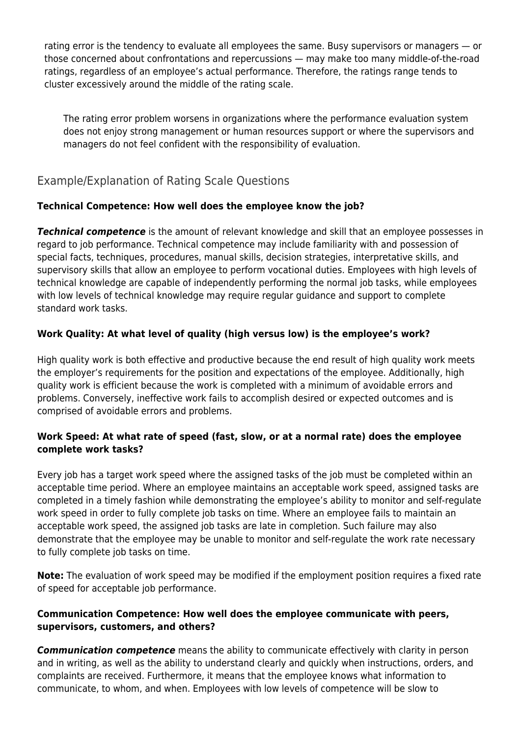rating error is the tendency to evaluate all employees the same. Busy supervisors or managers — or those concerned about confrontations and repercussions — may make too many middle-of-the-road ratings, regardless of an employee's actual performance. Therefore, the ratings range tends to cluster excessively around the middle of the rating scale.

The rating error problem worsens in organizations where the performance evaluation system does not enjoy strong management or human resources support or where the supervisors and managers do not feel confident with the responsibility of evaluation.

## Example/Explanation of Rating Scale Questions

#### **Technical Competence: How well does the employee know the job?**

**Technical competence** is the amount of relevant knowledge and skill that an employee possesses in regard to job performance. Technical competence may include familiarity with and possession of special facts, techniques, procedures, manual skills, decision strategies, interpretative skills, and supervisory skills that allow an employee to perform vocational duties. Employees with high levels of technical knowledge are capable of independently performing the normal job tasks, while employees with low levels of technical knowledge may require regular guidance and support to complete standard work tasks.

#### **Work Quality: At what level of quality (high versus low) is the employee's work?**

High quality work is both effective and productive because the end result of high quality work meets the employer's requirements for the position and expectations of the employee. Additionally, high quality work is efficient because the work is completed with a minimum of avoidable errors and problems. Conversely, ineffective work fails to accomplish desired or expected outcomes and is comprised of avoidable errors and problems.

#### **Work Speed: At what rate of speed (fast, slow, or at a normal rate) does the employee complete work tasks?**

Every job has a target work speed where the assigned tasks of the job must be completed within an acceptable time period. Where an employee maintains an acceptable work speed, assigned tasks are completed in a timely fashion while demonstrating the employee's ability to monitor and self-regulate work speed in order to fully complete job tasks on time. Where an employee fails to maintain an acceptable work speed, the assigned job tasks are late in completion. Such failure may also demonstrate that the employee may be unable to monitor and self-regulate the work rate necessary to fully complete job tasks on time.

**Note:** The evaluation of work speed may be modified if the employment position requires a fixed rate of speed for acceptable job performance.

#### **Communication Competence: How well does the employee communicate with peers, supervisors, customers, and others?**

*Communication competence* means the ability to communicate effectively with clarity in person and in writing, as well as the ability to understand clearly and quickly when instructions, orders, and complaints are received. Furthermore, it means that the employee knows what information to communicate, to whom, and when. Employees with low levels of competence will be slow to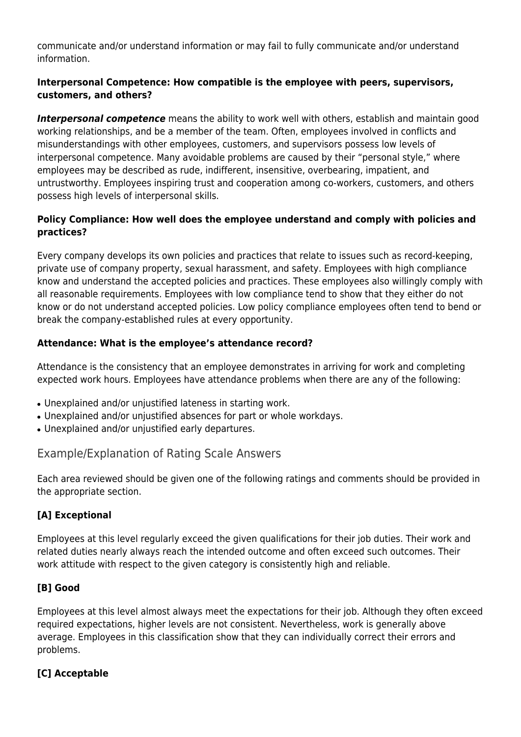communicate and/or understand information or may fail to fully communicate and/or understand information.

#### **Interpersonal Competence: How compatible is the employee with peers, supervisors, customers, and others?**

*Interpersonal competence* means the ability to work well with others, establish and maintain good working relationships, and be a member of the team. Often, employees involved in conflicts and misunderstandings with other employees, customers, and supervisors possess low levels of interpersonal competence. Many avoidable problems are caused by their "personal style," where employees may be described as rude, indifferent, insensitive, overbearing, impatient, and untrustworthy. Employees inspiring trust and cooperation among co-workers, customers, and others possess high levels of interpersonal skills.

#### **Policy Compliance: How well does the employee understand and comply with policies and practices?**

Every company develops its own policies and practices that relate to issues such as record-keeping, private use of company property, sexual harassment, and safety. Employees with high compliance know and understand the accepted policies and practices. These employees also willingly comply with all reasonable requirements. Employees with low compliance tend to show that they either do not know or do not understand accepted policies. Low policy compliance employees often tend to bend or break the company-established rules at every opportunity.

#### **Attendance: What is the employee's attendance record?**

Attendance is the consistency that an employee demonstrates in arriving for work and completing expected work hours. Employees have attendance problems when there are any of the following:

- Unexplained and/or unjustified lateness in starting work.
- Unexplained and/or unjustified absences for part or whole workdays.
- Unexplained and/or unjustified early departures.

## Example/Explanation of Rating Scale Answers

Each area reviewed should be given one of the following ratings and comments should be provided in the appropriate section.

#### **[A] Exceptional**

Employees at this level regularly exceed the given qualifications for their job duties. Their work and related duties nearly always reach the intended outcome and often exceed such outcomes. Their work attitude with respect to the given category is consistently high and reliable.

#### **[B] Good**

Employees at this level almost always meet the expectations for their job. Although they often exceed required expectations, higher levels are not consistent. Nevertheless, work is generally above average. Employees in this classification show that they can individually correct their errors and problems.

## **[C] Acceptable**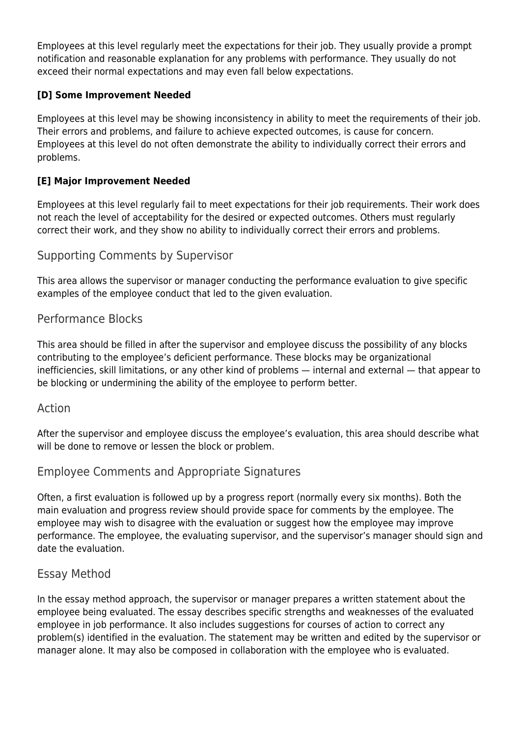Employees at this level regularly meet the expectations for their job. They usually provide a prompt notification and reasonable explanation for any problems with performance. They usually do not exceed their normal expectations and may even fall below expectations.

#### **[D] Some Improvement Needed**

Employees at this level may be showing inconsistency in ability to meet the requirements of their job. Their errors and problems, and failure to achieve expected outcomes, is cause for concern. Employees at this level do not often demonstrate the ability to individually correct their errors and problems.

#### **[E] Major Improvement Needed**

Employees at this level regularly fail to meet expectations for their job requirements. Their work does not reach the level of acceptability for the desired or expected outcomes. Others must regularly correct their work, and they show no ability to individually correct their errors and problems.

## Supporting Comments by Supervisor

This area allows the supervisor or manager conducting the performance evaluation to give specific examples of the employee conduct that led to the given evaluation.

## Performance Blocks

This area should be filled in after the supervisor and employee discuss the possibility of any blocks contributing to the employee's deficient performance. These blocks may be organizational inefficiencies, skill limitations, or any other kind of problems — internal and external — that appear to be blocking or undermining the ability of the employee to perform better.

#### Action

After the supervisor and employee discuss the employee's evaluation, this area should describe what will be done to remove or lessen the block or problem.

## Employee Comments and Appropriate Signatures

Often, a first evaluation is followed up by a progress report (normally every six months). Both the main evaluation and progress review should provide space for comments by the employee. The employee may wish to disagree with the evaluation or suggest how the employee may improve performance. The employee, the evaluating supervisor, and the supervisor's manager should sign and date the evaluation.

#### Essay Method

In the essay method approach, the supervisor or manager prepares a written statement about the employee being evaluated. The essay describes specific strengths and weaknesses of the evaluated employee in job performance. It also includes suggestions for courses of action to correct any problem(s) identified in the evaluation. The statement may be written and edited by the supervisor or manager alone. It may also be composed in collaboration with the employee who is evaluated.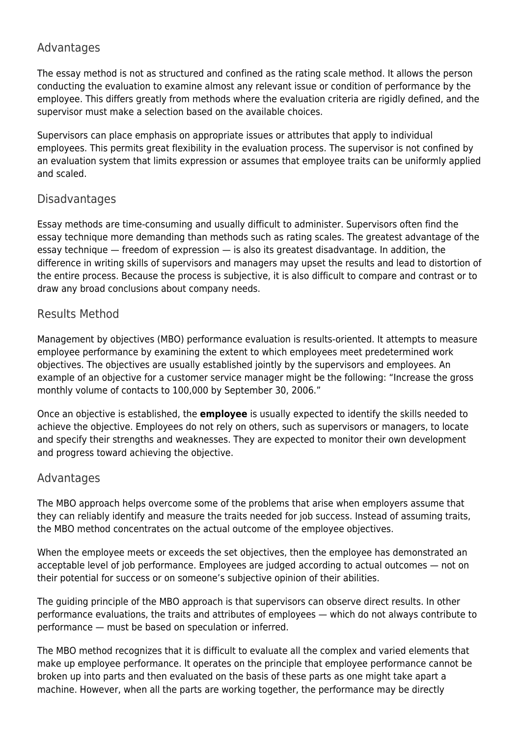## Advantages

The essay method is not as structured and confined as the rating scale method. It allows the person conducting the evaluation to examine almost any relevant issue or condition of performance by the employee. This differs greatly from methods where the evaluation criteria are rigidly defined, and the supervisor must make a selection based on the available choices.

Supervisors can place emphasis on appropriate issues or attributes that apply to individual employees. This permits great flexibility in the evaluation process. The supervisor is not confined by an evaluation system that limits expression or assumes that employee traits can be uniformly applied and scaled.

#### Disadvantages

Essay methods are time-consuming and usually difficult to administer. Supervisors often find the essay technique more demanding than methods such as rating scales. The greatest advantage of the essay technique — freedom of expression — is also its greatest disadvantage. In addition, the difference in writing skills of supervisors and managers may upset the results and lead to distortion of the entire process. Because the process is subjective, it is also difficult to compare and contrast or to draw any broad conclusions about company needs.

## Results Method

Management by objectives (MBO) performance evaluation is results-oriented. It attempts to measure employee performance by examining the extent to which employees meet predetermined work objectives. The objectives are usually established jointly by the supervisors and employees. An example of an objective for a customer service manager might be the following: "Increase the gross monthly volume of contacts to 100,000 by September 30, 2006."

Once an objective is established, the **employee** is usually expected to identify the skills needed to achieve the objective. Employees do not rely on others, such as supervisors or managers, to locate and specify their strengths and weaknesses. They are expected to monitor their own development and progress toward achieving the objective.

#### Advantages

The MBO approach helps overcome some of the problems that arise when employers assume that they can reliably identify and measure the traits needed for job success. Instead of assuming traits, the MBO method concentrates on the actual outcome of the employee objectives.

When the employee meets or exceeds the set objectives, then the employee has demonstrated an acceptable level of job performance. Employees are judged according to actual outcomes — not on their potential for success or on someone's subjective opinion of their abilities.

The guiding principle of the MBO approach is that supervisors can observe direct results. In other performance evaluations, the traits and attributes of employees — which do not always contribute to performance — must be based on speculation or inferred.

The MBO method recognizes that it is difficult to evaluate all the complex and varied elements that make up employee performance. It operates on the principle that employee performance cannot be broken up into parts and then evaluated on the basis of these parts as one might take apart a machine. However, when all the parts are working together, the performance may be directly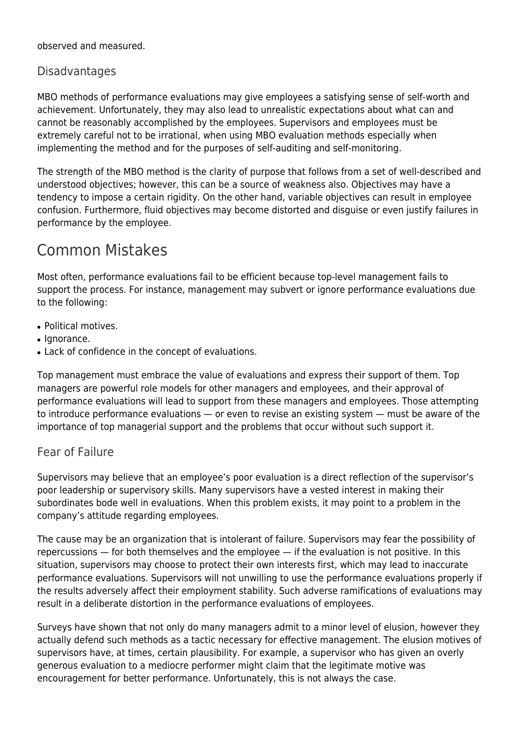observed and measured.

## **Disadvantages**

MBO methods of performance evaluations may give employees a satisfying sense of self-worth and achievement. Unfortunately, they may also lead to unrealistic expectations about what can and cannot be reasonably accomplished by the employees. Supervisors and employees must be extremely careful not to be irrational, when using MBO evaluation methods especially when implementing the method and for the purposes of self-auditing and self-monitoring.

The strength of the MBO method is the clarity of purpose that follows from a set of well-described and understood objectives; however, this can be a source of weakness also. Objectives may have a tendency to impose a certain rigidity. On the other hand, variable objectives can result in employee confusion. Furthermore, fluid objectives may become distorted and disguise or even justify failures in performance by the employee.

## Common Mistakes

Most often, performance evaluations fail to be efficient because top-level management fails to support the process. For instance, management may subvert or ignore performance evaluations due to the following:

- Political motives.
- Ignorance.
- Lack of confidence in the concept of evaluations.

Top management must embrace the value of evaluations and express their support of them. Top managers are powerful role models for other managers and employees, and their approval of performance evaluations will lead to support from these managers and employees. Those attempting to introduce performance evaluations — or even to revise an existing system — must be aware of the importance of top managerial support and the problems that occur without such support it.

## Fear of Failure

Supervisors may believe that an employee's poor evaluation is a direct reflection of the supervisor's poor leadership or supervisory skills. Many supervisors have a vested interest in making their subordinates bode well in evaluations. When this problem exists, it may point to a problem in the company's attitude regarding employees.

The cause may be an organization that is intolerant of failure. Supervisors may fear the possibility of repercussions — for both themselves and the employee — if the evaluation is not positive. In this situation, supervisors may choose to protect their own interests first, which may lead to inaccurate performance evaluations. Supervisors will not unwilling to use the performance evaluations properly if the results adversely affect their employment stability. Such adverse ramifications of evaluations may result in a deliberate distortion in the performance evaluations of employees.

Surveys have shown that not only do many managers admit to a minor level of elusion, however they actually defend such methods as a tactic necessary for effective management. The elusion motives of supervisors have, at times, certain plausibility. For example, a supervisor who has given an overly generous evaluation to a mediocre performer might claim that the legitimate motive was encouragement for better performance. Unfortunately, this is not always the case.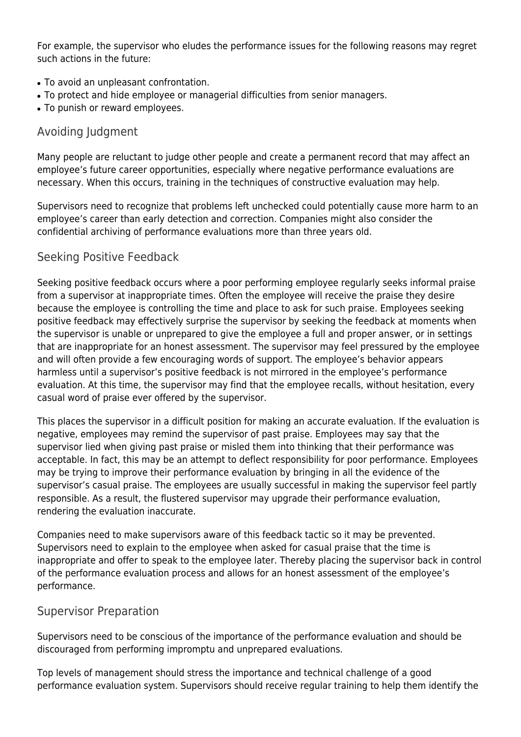For example, the supervisor who eludes the performance issues for the following reasons may regret such actions in the future:

- To avoid an unpleasant confrontation.
- To protect and hide employee or managerial difficulties from senior managers.
- To punish or reward employees.

## Avoiding Judgment

Many people are reluctant to judge other people and create a permanent record that may affect an employee's future career opportunities, especially where negative performance evaluations are necessary. When this occurs, training in the techniques of constructive evaluation may help.

Supervisors need to recognize that problems left unchecked could potentially cause more harm to an employee's career than early detection and correction. Companies might also consider the confidential archiving of performance evaluations more than three years old.

## Seeking Positive Feedback

Seeking positive feedback occurs where a poor performing employee regularly seeks informal praise from a supervisor at inappropriate times. Often the employee will receive the praise they desire because the employee is controlling the time and place to ask for such praise. Employees seeking positive feedback may effectively surprise the supervisor by seeking the feedback at moments when the supervisor is unable or unprepared to give the employee a full and proper answer, or in settings that are inappropriate for an honest assessment. The supervisor may feel pressured by the employee and will often provide a few encouraging words of support. The employee's behavior appears harmless until a supervisor's positive feedback is not mirrored in the employee's performance evaluation. At this time, the supervisor may find that the employee recalls, without hesitation, every casual word of praise ever offered by the supervisor.

This places the supervisor in a difficult position for making an accurate evaluation. If the evaluation is negative, employees may remind the supervisor of past praise. Employees may say that the supervisor lied when giving past praise or misled them into thinking that their performance was acceptable. In fact, this may be an attempt to deflect responsibility for poor performance. Employees may be trying to improve their performance evaluation by bringing in all the evidence of the supervisor's casual praise. The employees are usually successful in making the supervisor feel partly responsible. As a result, the flustered supervisor may upgrade their performance evaluation, rendering the evaluation inaccurate.

Companies need to make supervisors aware of this feedback tactic so it may be prevented. Supervisors need to explain to the employee when asked for casual praise that the time is inappropriate and offer to speak to the employee later. Thereby placing the supervisor back in control of the performance evaluation process and allows for an honest assessment of the employee's performance.

#### Supervisor Preparation

Supervisors need to be conscious of the importance of the performance evaluation and should be discouraged from performing impromptu and unprepared evaluations.

Top levels of management should stress the importance and technical challenge of a good performance evaluation system. Supervisors should receive regular training to help them identify the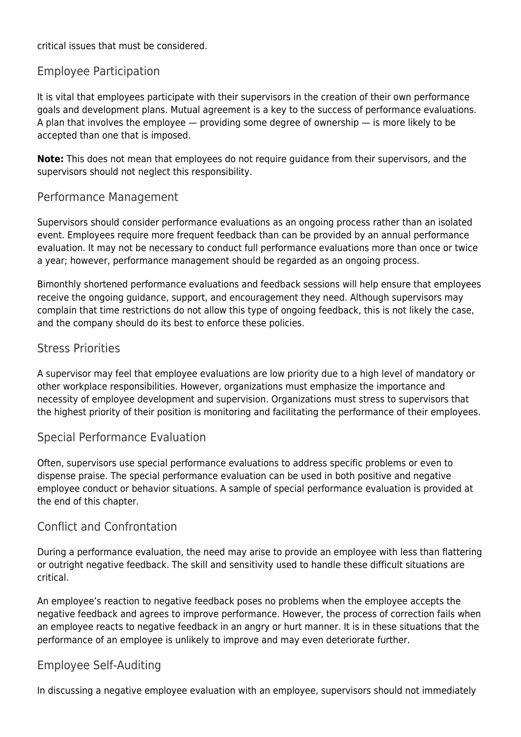critical issues that must be considered.

## Employee Participation

It is vital that employees participate with their supervisors in the creation of their own performance goals and development plans. Mutual agreement is a key to the success of performance evaluations. A plan that involves the employee — providing some degree of ownership — is more likely to be accepted than one that is imposed.

**Note:** This does not mean that employees do not require guidance from their supervisors, and the supervisors should not neglect this responsibility.

#### Performance Management

Supervisors should consider performance evaluations as an ongoing process rather than an isolated event. Employees require more frequent feedback than can be provided by an annual performance evaluation. It may not be necessary to conduct full performance evaluations more than once or twice a year; however, performance management should be regarded as an ongoing process.

Bimonthly shortened performance evaluations and feedback sessions will help ensure that employees receive the ongoing guidance, support, and encouragement they need. Although supervisors may complain that time restrictions do not allow this type of ongoing feedback, this is not likely the case, and the company should do its best to enforce these policies.

#### Stress Priorities

A supervisor may feel that employee evaluations are low priority due to a high level of mandatory or other workplace responsibilities. However, organizations must emphasize the importance and necessity of employee development and supervision. Organizations must stress to supervisors that the highest priority of their position is monitoring and facilitating the performance of their employees.

#### Special Performance Evaluation

Often, supervisors use special performance evaluations to address specific problems or even to dispense praise. The special performance evaluation can be used in both positive and negative employee conduct or behavior situations. A sample of special performance evaluation is provided at the end of this chapter.

#### Conflict and Confrontation

During a performance evaluation, the need may arise to provide an employee with less than flattering or outright negative feedback. The skill and sensitivity used to handle these difficult situations are critical.

An employee's reaction to negative feedback poses no problems when the employee accepts the negative feedback and agrees to improve performance. However, the process of correction fails when an employee reacts to negative feedback in an angry or hurt manner. It is in these situations that the performance of an employee is unlikely to improve and may even deteriorate further.

## Employee Self-Auditing

In discussing a negative employee evaluation with an employee, supervisors should not immediately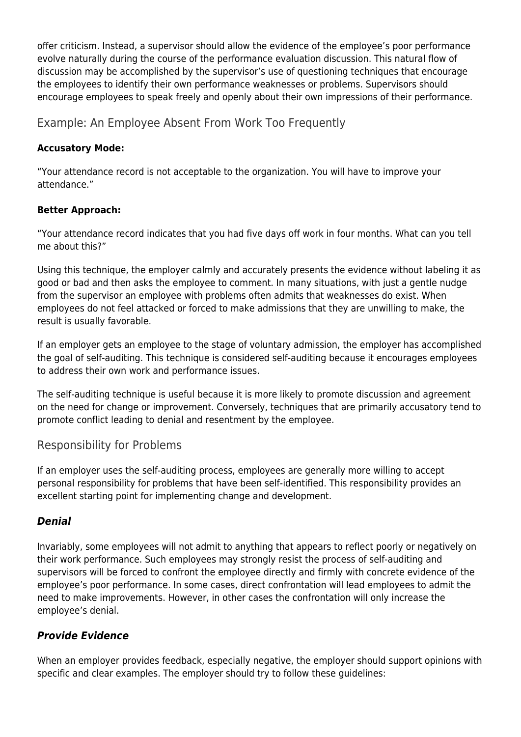offer criticism. Instead, a supervisor should allow the evidence of the employee's poor performance evolve naturally during the course of the performance evaluation discussion. This natural flow of discussion may be accomplished by the supervisor's use of questioning techniques that encourage the employees to identify their own performance weaknesses or problems. Supervisors should encourage employees to speak freely and openly about their own impressions of their performance.

## Example: An Employee Absent From Work Too Frequently

#### **Accusatory Mode:**

"Your attendance record is not acceptable to the organization. You will have to improve your attendance."

#### **Better Approach:**

"Your attendance record indicates that you had five days off work in four months. What can you tell me about this?"

Using this technique, the employer calmly and accurately presents the evidence without labeling it as good or bad and then asks the employee to comment. In many situations, with just a gentle nudge from the supervisor an employee with problems often admits that weaknesses do exist. When employees do not feel attacked or forced to make admissions that they are unwilling to make, the result is usually favorable.

If an employer gets an employee to the stage of voluntary admission, the employer has accomplished the goal of self-auditing. This technique is considered self-auditing because it encourages employees to address their own work and performance issues.

The self-auditing technique is useful because it is more likely to promote discussion and agreement on the need for change or improvement. Conversely, techniques that are primarily accusatory tend to promote conflict leading to denial and resentment by the employee.

#### Responsibility for Problems

If an employer uses the self-auditing process, employees are generally more willing to accept personal responsibility for problems that have been self-identified. This responsibility provides an excellent starting point for implementing change and development.

#### *Denial*

Invariably, some employees will not admit to anything that appears to reflect poorly or negatively on their work performance. Such employees may strongly resist the process of self-auditing and supervisors will be forced to confront the employee directly and firmly with concrete evidence of the employee's poor performance. In some cases, direct confrontation will lead employees to admit the need to make improvements. However, in other cases the confrontation will only increase the employee's denial.

#### *Provide Evidence*

When an employer provides feedback, especially negative, the employer should support opinions with specific and clear examples. The employer should try to follow these guidelines: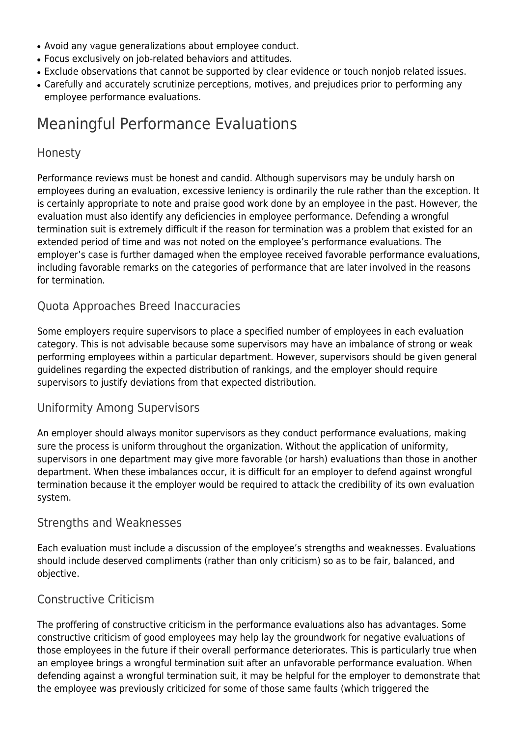- Avoid any vague generalizations about employee conduct.
- Focus exclusively on job-related behaviors and attitudes.
- Exclude observations that cannot be supported by clear evidence or touch nonjob related issues.
- Carefully and accurately scrutinize perceptions, motives, and prejudices prior to performing any employee performance evaluations.

## Meaningful Performance Evaluations

## Honesty

Performance reviews must be honest and candid. Although supervisors may be unduly harsh on employees during an evaluation, excessive leniency is ordinarily the rule rather than the exception. It is certainly appropriate to note and praise good work done by an employee in the past. However, the evaluation must also identify any deficiencies in employee performance. Defending a wrongful termination suit is extremely difficult if the reason for termination was a problem that existed for an extended period of time and was not noted on the employee's performance evaluations. The employer's case is further damaged when the employee received favorable performance evaluations, including favorable remarks on the categories of performance that are later involved in the reasons for termination.

## Quota Approaches Breed Inaccuracies

Some employers require supervisors to place a specified number of employees in each evaluation category. This is not advisable because some supervisors may have an imbalance of strong or weak performing employees within a particular department. However, supervisors should be given general guidelines regarding the expected distribution of rankings, and the employer should require supervisors to justify deviations from that expected distribution.

#### Uniformity Among Supervisors

An employer should always monitor supervisors as they conduct performance evaluations, making sure the process is uniform throughout the organization. Without the application of uniformity, supervisors in one department may give more favorable (or harsh) evaluations than those in another department. When these imbalances occur, it is difficult for an employer to defend against wrongful termination because it the employer would be required to attack the credibility of its own evaluation system.

#### Strengths and Weaknesses

Each evaluation must include a discussion of the employee's strengths and weaknesses. Evaluations should include deserved compliments (rather than only criticism) so as to be fair, balanced, and objective.

#### Constructive Criticism

The proffering of constructive criticism in the performance evaluations also has advantages. Some constructive criticism of good employees may help lay the groundwork for negative evaluations of those employees in the future if their overall performance deteriorates. This is particularly true when an employee brings a wrongful termination suit after an unfavorable performance evaluation. When defending against a wrongful termination suit, it may be helpful for the employer to demonstrate that the employee was previously criticized for some of those same faults (which triggered the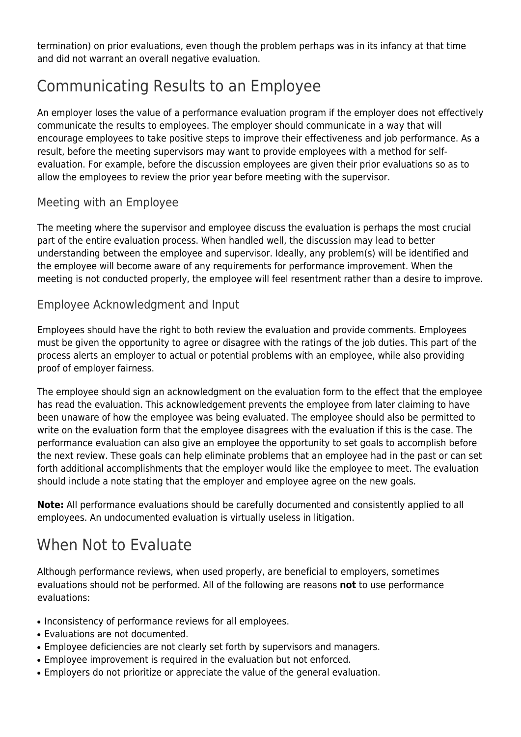termination) on prior evaluations, even though the problem perhaps was in its infancy at that time and did not warrant an overall negative evaluation.

# Communicating Results to an Employee

An employer loses the value of a performance evaluation program if the employer does not effectively communicate the results to employees. The employer should communicate in a way that will encourage employees to take positive steps to improve their effectiveness and job performance. As a result, before the meeting supervisors may want to provide employees with a method for selfevaluation. For example, before the discussion employees are given their prior evaluations so as to allow the employees to review the prior year before meeting with the supervisor.

## Meeting with an Employee

The meeting where the supervisor and employee discuss the evaluation is perhaps the most crucial part of the entire evaluation process. When handled well, the discussion may lead to better understanding between the employee and supervisor. Ideally, any problem(s) will be identified and the employee will become aware of any requirements for performance improvement. When the meeting is not conducted properly, the employee will feel resentment rather than a desire to improve.

#### Employee Acknowledgment and Input

Employees should have the right to both review the evaluation and provide comments. Employees must be given the opportunity to agree or disagree with the ratings of the job duties. This part of the process alerts an employer to actual or potential problems with an employee, while also providing proof of employer fairness.

The employee should sign an acknowledgment on the evaluation form to the effect that the employee has read the evaluation. This acknowledgement prevents the employee from later claiming to have been unaware of how the employee was being evaluated. The employee should also be permitted to write on the evaluation form that the employee disagrees with the evaluation if this is the case. The performance evaluation can also give an employee the opportunity to set goals to accomplish before the next review. These goals can help eliminate problems that an employee had in the past or can set forth additional accomplishments that the employer would like the employee to meet. The evaluation should include a note stating that the employer and employee agree on the new goals.

**Note:** All performance evaluations should be carefully documented and consistently applied to all employees. An undocumented evaluation is virtually useless in litigation.

# When Not to Evaluate

Although performance reviews, when used properly, are beneficial to employers, sometimes evaluations should not be performed. All of the following are reasons **not** to use performance evaluations:

- Inconsistency of performance reviews for all employees.
- Evaluations are not documented.
- Employee deficiencies are not clearly set forth by supervisors and managers.
- Employee improvement is required in the evaluation but not enforced.
- Employers do not prioritize or appreciate the value of the general evaluation.